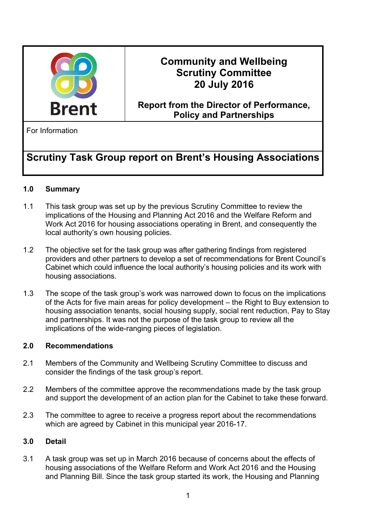

## **Community and Wellbeing Scrutiny Committee 20 July 2016**

## **Report from the Director of Performance, Policy and Partnerships**

For Information

# **Scrutiny Task Group report on Brent's Housing Associations**

### **1.0 Summary**

- 1.1 This task group was set up by the previous Scrutiny Committee to review the implications of the Housing and Planning Act 2016 and the Welfare Reform and Work Act 2016 for housing associations operating in Brent, and consequently the local authority's own housing policies.
- 1.2 The objective set for the task group was after gathering findings from registered providers and other partners to develop a set of recommendations for Brent Council's Cabinet which could influence the local authority's housing policies and its work with housing associations.
- 1.3 The scope of the task group's work was narrowed down to focus on the implications of the Acts for five main areas for policy development – the Right to Buy extension to housing association tenants, social housing supply, social rent reduction, Pay to Stay and partnerships. It was not the purpose of the task group to review all the implications of the wide-ranging pieces of legislation.

#### **2.0 Recommendations**

- 2.1 Members of the Community and Wellbeing Scrutiny Committee to discuss and consider the findings of the task group's report.
- 2.2 Members of the committee approve the recommendations made by the task group and support the development of an action plan for the Cabinet to take these forward.
- 2.3 The committee to agree to receive a progress report about the recommendations which are agreed by Cabinet in this municipal year 2016-17.

#### **3.0 Detail**

3.1 A task group was set up in March 2016 because of concerns about the effects of housing associations of the Welfare Reform and Work Act 2016 and the Housing and Planning Bill. Since the task group started its work, the Housing and Planning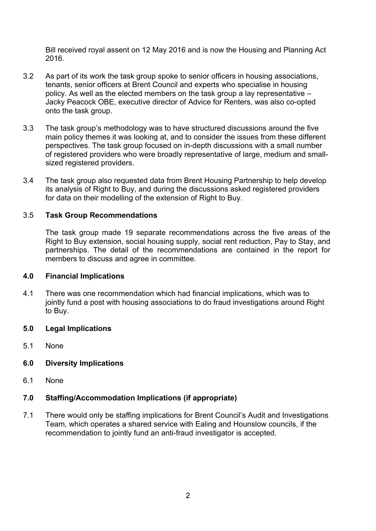Bill received royal assent on 12 May 2016 and is now the Housing and Planning Act 2016.

- 3.2 As part of its work the task group spoke to senior officers in housing associations, tenants, senior officers at Brent Council and experts who specialise in housing policy. As well as the elected members on the task group a lay representative – Jacky Peacock OBE, executive director of Advice for Renters, was also co-opted onto the task group.
- 3.3 The task group's methodology was to have structured discussions around the five main policy themes it was looking at, and to consider the issues from these different perspectives. The task group focused on in-depth discussions with a small number of registered providers who were broadly representative of large, medium and smallsized registered providers.
- 3.4 The task group also requested data from Brent Housing Partnership to help develop its analysis of Right to Buy, and during the discussions asked registered providers for data on their modelling of the extension of Right to Buy.

#### 3.5 **Task Group Recommendations**

The task group made 19 separate recommendations across the five areas of the Right to Buy extension, social housing supply, social rent reduction, Pay to Stay, and partnerships. The detail of the recommendations are contained in the report for members to discuss and agree in committee.

#### **4.0 Financial Implications**

4.1 There was one recommendation which had financial implications, which was to jointly fund a post with housing associations to do fraud investigations around Right to Buy.

#### **5.0 Legal Implications**

5.1 None

#### **6.0 Diversity Implications**

6.1 None

#### **7.0 Staffing/Accommodation Implications (if appropriate)**

7.1 There would only be staffing implications for Brent Council's Audit and Investigations Team, which operates a shared service with Ealing and Hounslow councils, if the recommendation to jointly fund an anti-fraud investigator is accepted.